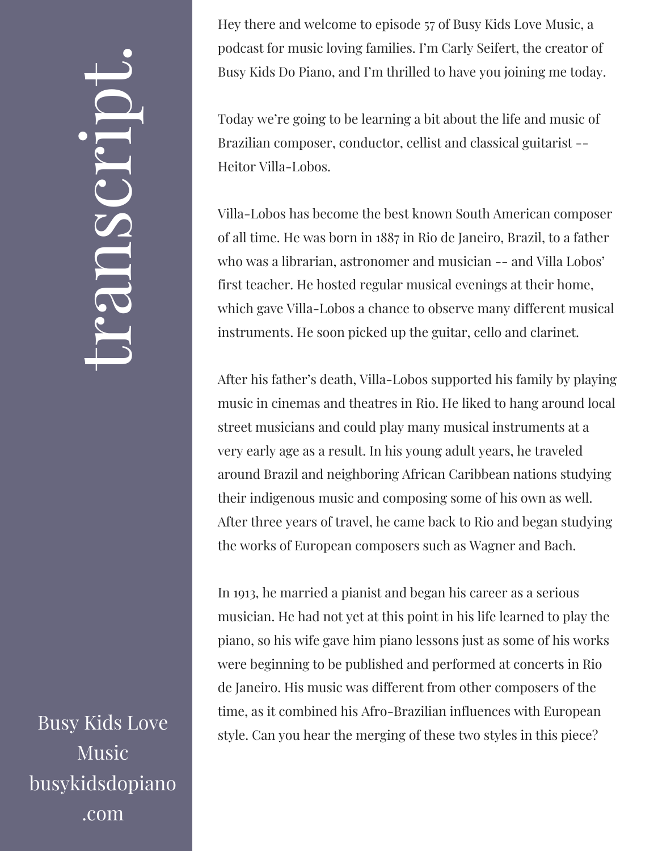## $\leftarrow$ ra<br>S n $\boldsymbol{C}$  $\bigcup$ r $\bullet$   $\overline{\phantom{a}}$  $\boxed{\phantom{1}}$  $\overline{\phantom{0}}$  $\bullet$

Busy Kids Love Music busykidsdopiano .com

Hey there and welcome to episode 57 of Busy Kids Love Music, a podcast for music loving families. I'm Carly Seifert, the creator of Busy Kids Do Piano, and I'm thrilled to have you joining me today.

Today we're going to be learning a bit about the life and music of Brazilian composer, conductor, cellist and classical guitarist -- Heitor Villa-Lobos.

Villa-Lobos has become the best known South American composer of all time. He was born in 1887 in Rio de Janeiro, Brazil, to a father who was a librarian, astronomer and musician -- and Villa Lobos' first teacher. He hosted regular musical evenings at their home, which gave Villa-Lobos a chance to observe many different musical instruments. He soon picked up the guitar, cello and clarinet.

After his father's death, Villa-Lobos supported his family by playing music in cinemas and theatres in Rio. He liked to hang around local street musicians and could play many musical instruments at a very early age as a result. In his young adult years, he traveled around Brazil and neighboring African Caribbean nations studying their indigenous music and composing some of his own as well. After three years of travel, he came back to Rio and began studying the works of European composers such as Wagner and Bach.

In 1913, he married a pianist and began his career as a serious musician. He had not yet at this point in his life learned to play the piano, so his wife gave him piano lessons just as some of his works were beginning to be published and performed at concerts in Rio de Janeiro. His music was different from other composers of the time, as it combined his Afro-Brazilian influences with European style. Can you hear the merging of these two styles in this piece?